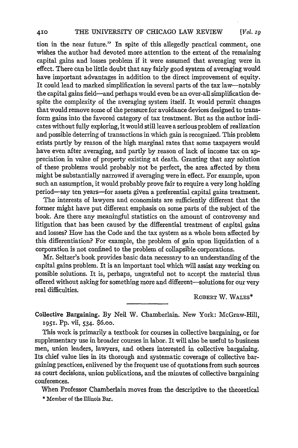$[Vol. Iq]$ 

tion in the near future." In spite of this allegedly practical comment, one wishes the author had devoted more attention to the extent of the remaining capital gains and losses problem if it were assumed that averaging were in effect. There can be little doubt that any fairly good system of averaging would have important advantages in addition to the direct improvement of equity. It could lead to marked simplification in several parts of the tax law-notably the capital gains field-and perhaps would even be an over-all simplification despite the complexity of the averaging system itself. It would permit changes that would remove some of the pressure for avoidance devices designed to transform gains into the favored category of tax treatment. But as the author indicates without fully exploring, it would still leave a serious problem of realization and possible deterring of transactions in which gain is recognized. This problem exists partly by reason of the high marginal rates that some taxpayers would have even after averaging, and partly by reason of lack of income tax on appreciation in value of property existing at death. Granting that any solution of these problems would probably not be perfect, the area affected by them might be substantially narrowed if averaging were in effect. For example, upon such an assumption, it would probably prove fair to require a very long holding period-say ten years-for assets given a preferential capital gains treatment.

The interests of lawyers and economists are sufficiently different that the former might have put different emphasis on some parts of the subject of the book. Are there any meaningful statistics on the amount of controversy and litigation that has been caused by the differential treatment of capital gains and losses? How has the Code and the tax system as a whole been affected **by** this differentiation? For example, the problem of gain upon liquidation of a corporation is not confined to the problem of collapsible corporations.

Mr. Seltzer's book provides basic data necessary to an understanding of the capital gains problem. It is an important tool which will assist any working on possible solutions. It is, perhaps, ungrateful not to accept the material thus offered without asking for something more and different-solutions for our very real difficulties.

**ROBERT** W. WALES\*

Collective Bargaining. By Neil W. Chamberlain. New York: McGraw-Hill, **1951.** Pp. vii, 534. 6.oo.

This work is primarily a textbook for courses in collective bargaining, or for supplementary use in broader courses in labor. It will also be useful to business men, union leaders, lawyers, and others interested in collective bargaining. Its chief value lies in its thorough and systematic coverage of collective bargaining practices, enlivened by the frequent use of quotations from such sources as court decisions, union publications, and the minutes of collective bargaining conferences.

When Professor Chamberlain moves from the descriptive to the theoretical

\* Member **of** the Illinois Bar.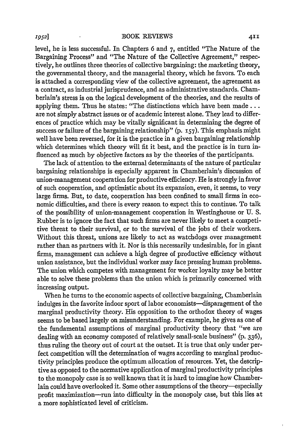level, he is less successful. In Chapters 6 and 7, entitled "The Nature of the Bargaining Process" and "The Nature of the Collective Agreement," respectively, he outlines three theories of collective bargaining: the marketing theory, the governmental theory, and the managerial theory, which he favors. To each is attached a corresponding view of the collective agreement, the agreement as a contract, as industrial jurisprudence, and as administrative standards. Chamberlain's stress is on the logical development of the theories, and the results of applying them. Thus he states: "The distinctions which have been made... are not simply abstract issues or of academic interest alone. They lead to differences of practice which may be vitally significant in determining the degree of success or failure of the bargaining relationship" (p. **157).** This emphasis might well have been reversed, for it is the practice in a given bargaining relationship which determines which theory will fit it best, and the practice is in turn influenced as much by objective factors as **by** the theories of the participants.

The lack of attention to the external determinants of the nature of particular bargaining relationships is especially apparent in Chamberlain's discussion of union-management cooperation for productive efficiency. He is strongly in favor of such cooperation, and optimistic about its expansion, even, it seems, to very large firms. But, to date, cooperation has been confined to small firms in economic difficulties, and there is every reason to expect this to continue. To talk of the possibility of union-management cooperation in Westinghouse or U. S. Rubber is to ignore the fact that such firms are never likely to meet a competitive threat to their survival, or to the survival of the jobs of their workers. Without this threat, unions are likely to act as watchdogs over management rather than as partners with it. Nor is this necessarily undesirable, for in giant firms, management can achieve a high degree of productive efficiency without union assistance, but the individual worker may face pressing human problems. The union which competes with management for worker loyalty may be better able to solve these problems than the union which is primarily concerned with increasing output.

When he turns to the economic aspects of collective bargaining, Chamberlain indulges in the favorite indoor sport of labor economists—disparagement of the marginal productivity theory. His opposition to the orthodox theory of wages seems to be based largely on misunderstanding. For example, he gives as one of the fundamental assumptions of marginal productivity theory that "we are dealing with an economy composed of relatively small-scale business" (p. 336), thus ruling the theory out of court at the outset. It is true that only under perfect competition will the determination of wages according to marginal productivity principles produce the optimum allocation of resources. Yet, the descriptive as opposed to the normative application of marginal productivity principles to the monopoly case is so well known that it is hard to imagine how Chamberlain could have overlooked it. Some other assumptions of the theory-especially profit maximization-run into difficulty in the monopoly case, but this lies at a more sophisticated level of criticism.